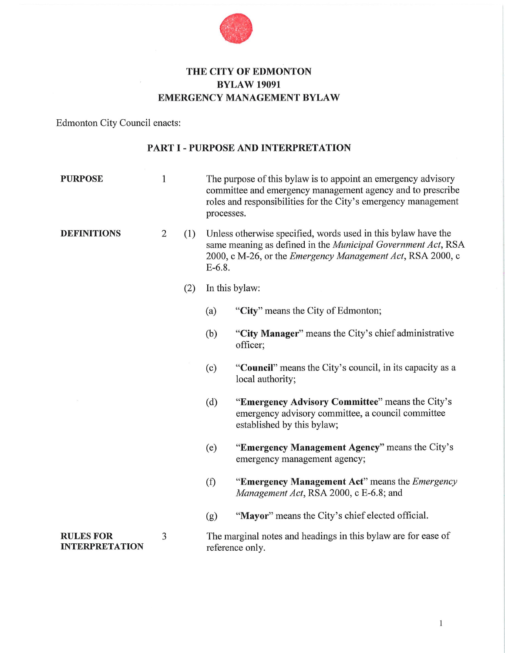

## **THE CITY OF EDMONTON BYLAW 19091 EMERGENCY MANAGEMENT BYLAW**

Edmonton City Council enacts:

#### **PART I - PURPOSE AND INTERPRETATION**

| <b>PURPOSE</b>                            | $\mathbf{1}$   |     | The purpose of this bylaw is to appoint an emergency advisory<br>committee and emergency management agency and to prescribe<br>roles and responsibilities for the City's emergency management<br>processes.     |                                                                                                                                    |  |
|-------------------------------------------|----------------|-----|-----------------------------------------------------------------------------------------------------------------------------------------------------------------------------------------------------------------|------------------------------------------------------------------------------------------------------------------------------------|--|
| <b>DEFINITIONS</b>                        | $\overline{2}$ | (1) | Unless otherwise specified, words used in this bylaw have the<br>same meaning as defined in the Municipal Government Act, RSA<br>2000, c M-26, or the <i>Emergency Management Act</i> , RSA 2000, c<br>$E-6.8.$ |                                                                                                                                    |  |
|                                           |                | (2) | In this bylaw:                                                                                                                                                                                                  |                                                                                                                                    |  |
|                                           |                |     | (a)                                                                                                                                                                                                             | "City" means the City of Edmonton;                                                                                                 |  |
|                                           |                |     | (b)                                                                                                                                                                                                             | "City Manager" means the City's chief administrative<br>officer;                                                                   |  |
|                                           |                |     | (c)                                                                                                                                                                                                             | "Council" means the City's council, in its capacity as a<br>local authority;                                                       |  |
|                                           |                |     | (d)                                                                                                                                                                                                             | "Emergency Advisory Committee" means the City's<br>emergency advisory committee, a council committee<br>established by this bylaw; |  |
|                                           |                |     | (e)                                                                                                                                                                                                             | "Emergency Management Agency" means the City's<br>emergency management agency;                                                     |  |
|                                           |                |     | (f)                                                                                                                                                                                                             | "Emergency Management Act" means the <i>Emergency</i><br>Management Act, RSA 2000, c E-6.8; and                                    |  |
|                                           |                |     | (g)                                                                                                                                                                                                             | "Mayor" means the City's chief elected official.                                                                                   |  |
| <b>RULES FOR</b><br><b>INTERPRETATION</b> | 3              |     | The marginal notes and headings in this bylaw are for ease of<br>reference only.                                                                                                                                |                                                                                                                                    |  |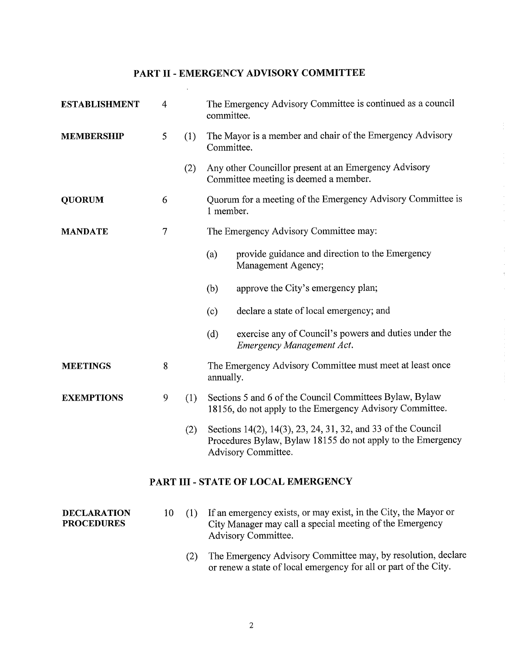### PART II- EMERGENCY ADVISORY COMMITTEE

 $\bar{\mathcal{A}}$ 

| <b>ESTABLISHMENT</b>                    | 4                                   |     | The Emergency Advisory Committee is continued as a council<br>committee.                                                                           |                                                                                                                                                    |  |  |
|-----------------------------------------|-------------------------------------|-----|----------------------------------------------------------------------------------------------------------------------------------------------------|----------------------------------------------------------------------------------------------------------------------------------------------------|--|--|
| <b>MEMBERSHIP</b>                       | 5                                   | (1) | The Mayor is a member and chair of the Emergency Advisory<br>Committee.                                                                            |                                                                                                                                                    |  |  |
|                                         |                                     | (2) |                                                                                                                                                    | Any other Councillor present at an Emergency Advisory<br>Committee meeting is deemed a member.                                                     |  |  |
| <b>QUORUM</b>                           | 6                                   |     | Quorum for a meeting of the Emergency Advisory Committee is<br>1 member.                                                                           |                                                                                                                                                    |  |  |
| <b>MANDATE</b>                          | 7                                   |     | The Emergency Advisory Committee may:                                                                                                              |                                                                                                                                                    |  |  |
|                                         |                                     |     | (a)                                                                                                                                                | provide guidance and direction to the Emergency<br>Management Agency;                                                                              |  |  |
|                                         |                                     |     | (b)                                                                                                                                                | approve the City's emergency plan;                                                                                                                 |  |  |
|                                         |                                     |     | (c)                                                                                                                                                | declare a state of local emergency; and                                                                                                            |  |  |
|                                         |                                     |     | (d)                                                                                                                                                | exercise any of Council's powers and duties under the<br>Emergency Management Act.                                                                 |  |  |
| <b>MEETINGS</b>                         | 8                                   |     | The Emergency Advisory Committee must meet at least once<br>annually.                                                                              |                                                                                                                                                    |  |  |
| <b>EXEMPTIONS</b>                       | 9                                   | (1) | Sections 5 and 6 of the Council Committees Bylaw, Bylaw<br>18156, do not apply to the Emergency Advisory Committee.                                |                                                                                                                                                    |  |  |
|                                         |                                     | (2) | Sections 14(2), 14(3), 23, 24, 31, 32, and 33 of the Council<br>Procedures Bylaw, Bylaw 18155 do not apply to the Emergency<br>Advisory Committee. |                                                                                                                                                    |  |  |
|                                         | PART III - STATE OF LOCAL EMERGENCY |     |                                                                                                                                                    |                                                                                                                                                    |  |  |
| <b>DECLARATION</b><br><b>PROCEDURES</b> | 10                                  | (1) |                                                                                                                                                    | If an emergency exists, or may exist, in the City, the Mayor or<br>City Manager may call a special meeting of the Emergency<br>Advisory Committee. |  |  |
|                                         |                                     | (2) |                                                                                                                                                    | The Emergency Advisory Committee may, by resolution, declare                                                                                       |  |  |

or renew a state of local emergency for all or part of the City.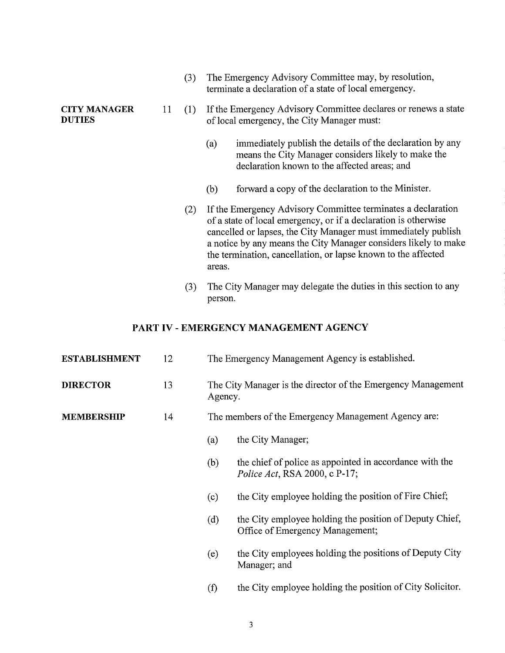|                                      |    | (3) | The Emergency Advisory Committee may, by resolution,<br>terminate a declaration of a state of local emergency.                                                                                                                                                                                                                                  |
|--------------------------------------|----|-----|-------------------------------------------------------------------------------------------------------------------------------------------------------------------------------------------------------------------------------------------------------------------------------------------------------------------------------------------------|
| <b>CITY MANAGER</b><br><b>DUTIES</b> | 11 | (1) | If the Emergency Advisory Committee declares or renews a state<br>of local emergency, the City Manager must:                                                                                                                                                                                                                                    |
|                                      |    |     | immediately publish the details of the declaration by any<br>(a)<br>means the City Manager considers likely to make the<br>declaration known to the affected areas; and                                                                                                                                                                         |
|                                      |    |     | forward a copy of the declaration to the Minister.<br>(b)                                                                                                                                                                                                                                                                                       |
|                                      |    | (2) | If the Emergency Advisory Committee terminates a declaration<br>of a state of local emergency, or if a declaration is otherwise<br>cancelled or lapses, the City Manager must immediately publish<br>a notice by any means the City Manager considers likely to make<br>the termination, cancellation, or lapse known to the affected<br>areas. |
|                                      |    | (3) | The City Manager may delegate the duties in this section to any<br>person.                                                                                                                                                                                                                                                                      |

#### PART IV - EMERGENCY MANAGEMENT AGENCY

| <b>ESTABLISHMENT</b> | 12 | The Emergency Management Agency is established.                         |                                                                                                  |  |
|----------------------|----|-------------------------------------------------------------------------|--------------------------------------------------------------------------------------------------|--|
| <b>DIRECTOR</b>      | 13 | The City Manager is the director of the Emergency Management<br>Agency. |                                                                                                  |  |
| <b>MEMBERSHIP</b>    | 14 | The members of the Emergency Management Agency are:                     |                                                                                                  |  |
|                      |    | (a)                                                                     | the City Manager;                                                                                |  |
|                      |    | (b)                                                                     | the chief of police as appointed in accordance with the<br><i>Police Act</i> , RSA 2000, c P-17; |  |
|                      |    | (c)                                                                     | the City employee holding the position of Fire Chief;                                            |  |
|                      |    | (d)                                                                     | the City employee holding the position of Deputy Chief,<br>Office of Emergency Management;       |  |
|                      |    | (e)                                                                     | the City employees holding the positions of Deputy City<br>Manager; and                          |  |
|                      |    | (f)                                                                     | the City employee holding the position of City Solicitor.                                        |  |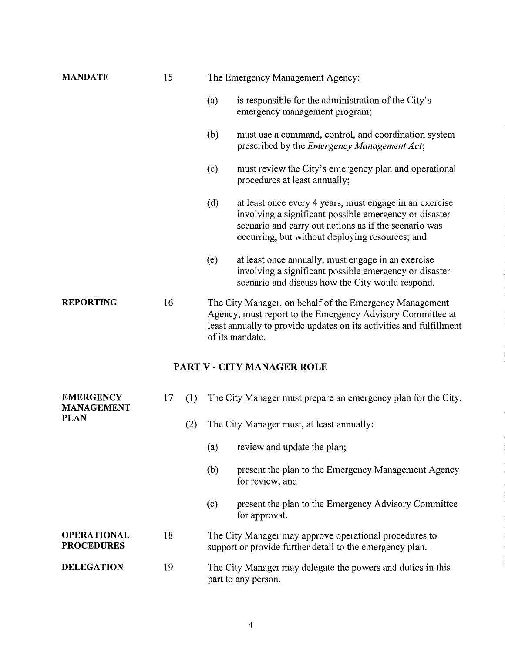| <b>MANDATE</b>                          | 15        |     | The Emergency Management Agency: |                                                                                                                                                                                                                               |  |
|-----------------------------------------|-----------|-----|----------------------------------|-------------------------------------------------------------------------------------------------------------------------------------------------------------------------------------------------------------------------------|--|
|                                         |           |     | (a)                              | is responsible for the administration of the City's<br>emergency management program;                                                                                                                                          |  |
|                                         |           |     | (b)                              | must use a command, control, and coordination system<br>prescribed by the <i>Emergency Management Act</i> ;                                                                                                                   |  |
|                                         |           |     | (c)                              | must review the City's emergency plan and operational<br>procedures at least annually;                                                                                                                                        |  |
|                                         |           |     | (d)                              | at least once every 4 years, must engage in an exercise<br>involving a significant possible emergency or disaster<br>scenario and carry out actions as if the scenario was<br>occurring, but without deploying resources; and |  |
|                                         |           |     | (e)                              | at least once annually, must engage in an exercise<br>involving a significant possible emergency or disaster<br>scenario and discuss how the City would respond.                                                              |  |
| <b>REPORTING</b>                        | 16        |     |                                  | The City Manager, on behalf of the Emergency Management<br>Agency, must report to the Emergency Advisory Committee at<br>least annually to provide updates on its activities and fulfillment<br>of its mandate.               |  |
|                                         |           |     |                                  | PART V - CITY MANAGER ROLE                                                                                                                                                                                                    |  |
| <b>EMERGENCY</b><br><b>MANAGEMENT</b>   | 17<br>(1) |     |                                  | The City Manager must prepare an emergency plan for the City.                                                                                                                                                                 |  |
| <b>PLAN</b>                             |           | (2) |                                  | The City Manager must, at least annually:                                                                                                                                                                                     |  |
|                                         |           |     | (a)                              | review and update the plan;                                                                                                                                                                                                   |  |
|                                         |           |     | (b)                              | present the plan to the Emergency Management Agency<br>for review; and                                                                                                                                                        |  |
|                                         |           |     | (c)                              | present the plan to the Emergency Advisory Committee<br>for approval.                                                                                                                                                         |  |
| <b>OPERATIONAL</b><br><b>PROCEDURES</b> | 18        |     |                                  | The City Manager may approve operational procedures to<br>support or provide further detail to the emergency plan.                                                                                                            |  |
| <b>DELEGATION</b>                       | 19        |     |                                  | The City Manager may delegate the powers and duties in this<br>part to any person.                                                                                                                                            |  |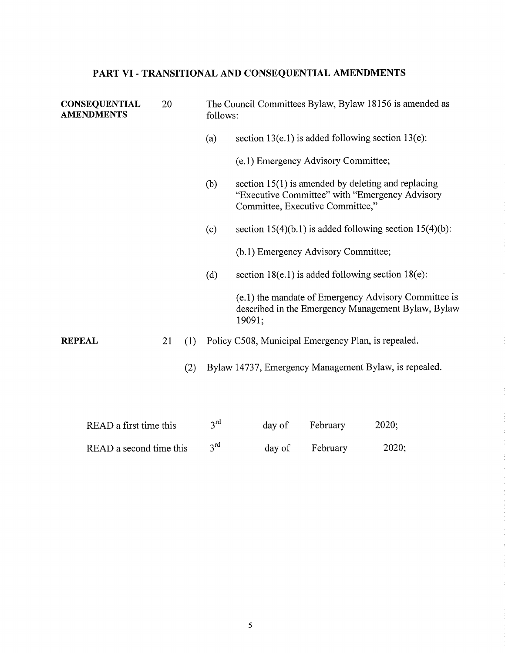# **PART VI- TRANSITIONAL AND CONSEQUENTIAL AMENDMENTS**

|               | <b>CONSEQUENTIAL</b><br><b>AMENDMENTS</b> | 20 |     | The Council Committees Bylaw, Bylaw 18156 is amended as<br>follows: |                                                                                                                                             |  |
|---------------|-------------------------------------------|----|-----|---------------------------------------------------------------------|---------------------------------------------------------------------------------------------------------------------------------------------|--|
|               |                                           |    |     | (a)                                                                 | section $13(e.1)$ is added following section $13(e)$ :                                                                                      |  |
|               |                                           |    |     |                                                                     | (e.1) Emergency Advisory Committee;                                                                                                         |  |
|               |                                           |    |     | (b)                                                                 | section $15(1)$ is amended by deleting and replacing<br>"Executive Committee" with "Emergency Advisory"<br>Committee, Executive Committee," |  |
|               |                                           |    |     | (c)                                                                 | section $15(4)(b.1)$ is added following section $15(4)(b)$ :                                                                                |  |
|               |                                           |    |     |                                                                     | (b.1) Emergency Advisory Committee;                                                                                                         |  |
|               |                                           |    |     | (d)                                                                 | section $18(e.1)$ is added following section $18(e)$ :                                                                                      |  |
|               |                                           |    |     |                                                                     | (e.1) the mandate of Emergency Advisory Committee is<br>described in the Emergency Management Bylaw, Bylaw<br>19091;                        |  |
| <b>REPEAL</b> |                                           | 21 | (1) |                                                                     | Policy C508, Municipal Emergency Plan, is repealed.                                                                                         |  |
|               |                                           |    | (2) |                                                                     | Bylaw 14737, Emergency Management Bylaw, is repealed.                                                                                       |  |
|               | READ a first time this                    |    |     | 3 <sup>rd</sup>                                                     | 2020;<br>February<br>day of                                                                                                                 |  |

READ a second time this  $3<sup>rd</sup>$  day of February 2020;